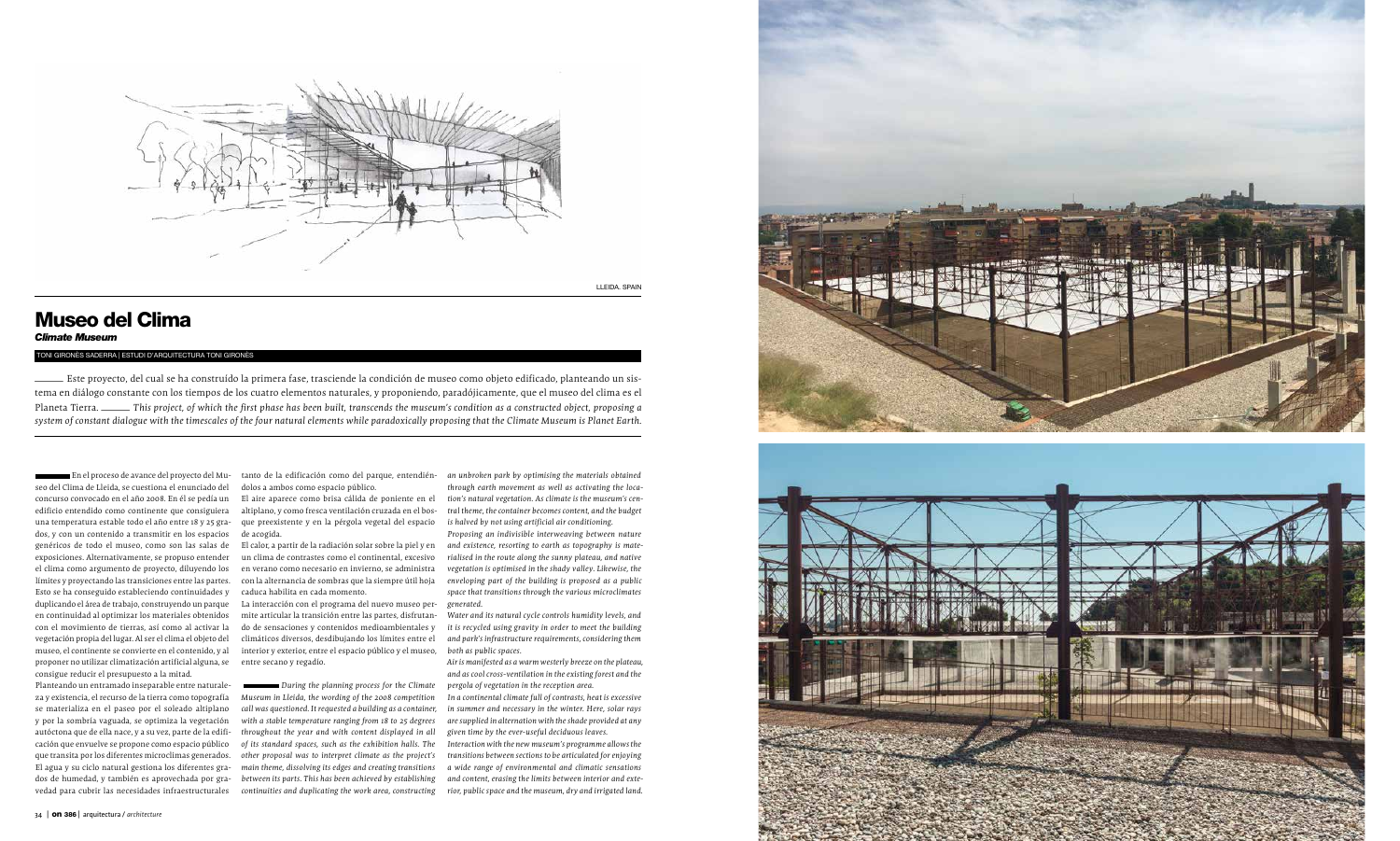



LLEIDA. SPAIN

## Museo del Clima

## *Climate Museum*

TONI GIRONÈS SADERRA | ESTUDI D'ARQUITECTURA TONI GIRONÈS – Este proyecto, del cual se ha construído la primera fase, trasciende la condición de museo como objeto edificado, planteando un sis tema en diálogo constante con los tiempos de los cuatro elementos naturales, y proponiendo, paradójicamente, que el museo del clima es el Planeta Tierra. ecto, del cual se ha construído la primera fase, trasciende la condición de museo como objeto edificado, planteando un sis-<br>2) constante con los tiempos de los cuatro elementos naturales, y proponiendo, paradójicamente, qu *system of constant dialogue with the timescales of the four natural elements while paradoxically proposing that the Climate Museum is Planet Earth.*

En el proceso de avance del proyecto del Mu seo del Clima de Lleida, se cuestiona el enunciado del concurso convocado en el año 2008. En él se pedía un edificio entendido como continente que consiguiera una temperatura estable todo el año entre 18 y 25 gra dos, y con un contenido a transmitir en los espacios genéricos de todo el museo, como son las salas de exposiciones. Alternativamente, se propuso entender el clima como argumento de proyecto, diluyendo los límites y proyectando las transiciones entre las partes. Esto se ha conseguido estableciendo continuidades y duplicando el área de trabajo, construyendo un parque en continuidad al optimizar los materiales obtenidos con el movimiento de tierras, así como al activar la vegetación propia del lugar. Al ser el clima el objeto del museo, el continente se convierte en el contenido, y al proponer no utilizar climatización artificial alguna, se consigue reducir el presupuesto a la mitad.

Planteando un entramado inseparable entre naturale za y existencia, el recurso de la tierra como topografía se materializa en el paseo por el soleado altiplano y por la sombría vaguada, se optimiza la vegetación autóctona que de ella nace, y a su vez, parte de la edifi cación que envuelve se propone como espacio público que transita por los diferentes microclimas generados. El agua y su ciclo natural gestiona los diferentes gra dos de humedad, y también es aprovechada por gra vedad para cubrir las necesidades infraestructurales

tanto de la edificación como del parque, entendién dolos a ambos como espacio público.

El aire aparece como brisa cálida de poniente en el altiplano, y como fresca ventilación cruzada en el bos que preexistente y en la pérgola vegetal del espacio de acogida.

El calor, a partir de la radiación solar sobre la piel y en un clima de contrastes como el continental, excesivo en verano como necesario en invierno, se administra con la alternancia de sombras que la siempre útil hoja caduca habilita en cada momento.

La interacción con el programa del nuevo museo per mite articular la transición entre las partes, disfrutan do de sensaciones y contenidos medioambientales y climáticos diversos, desdibujando los límites entre el interior y exterior, entre el espacio público y el museo, entre secano y regadío.

*During the planning process for the Climate Museum in Lleida, the wording of the 2008 competition call was questioned. It requested a building as a container, with a stable temperature ranging from 18 to 25 degrees throughout the year and with content displayed in all of its standard spaces, such as the exhibition halls. The other proposal was to interpret climate as the project's main theme, dissolving its edges and creating transitions between its parts. This has been achieved by establishing* 

*an unbroken park by optimising the materials obtained through earth movement as well as activating the loca tion's natural vegetation. As climate is the museum's cen tral theme, the container becomes content, and the budget is halved by not using artificial air conditioning.*

*Proposing an indivisible interweaving between nature and existence, resorting to earth as topography is mate rialised in the route along the sunny plateau, and native vegetation is optimised in the shady valley. Likewise, the enveloping part of the building is proposed as a public space that transitions through the various microclimates generated.*

*continuities and duplicating the work area, constructing rior, public space and the museum, dry and irrigated land.Interaction with the new museum's programme allows the transitions between sections to be articulated for enjoying a wide range of environmental and climatic sensations and content, erasing the limits between interior and exte -*



*Water and its natural cycle controls humidity levels, and it is recycled using gravity in order to meet the building and park's infrastructure requirements, considering them both as public spaces.*

*Air is manifested as a warm westerly breeze on the plateau, and as cool cross-ventilation in the existing forest and the pergola of vegetation in the reception area.*

*In a continental climate full of contrasts, heat is excessive in summer and necessary in the winter. Here, solar rays are supplied in alternation with the shade provided at any given time by the ever-useful deciduous leaves.*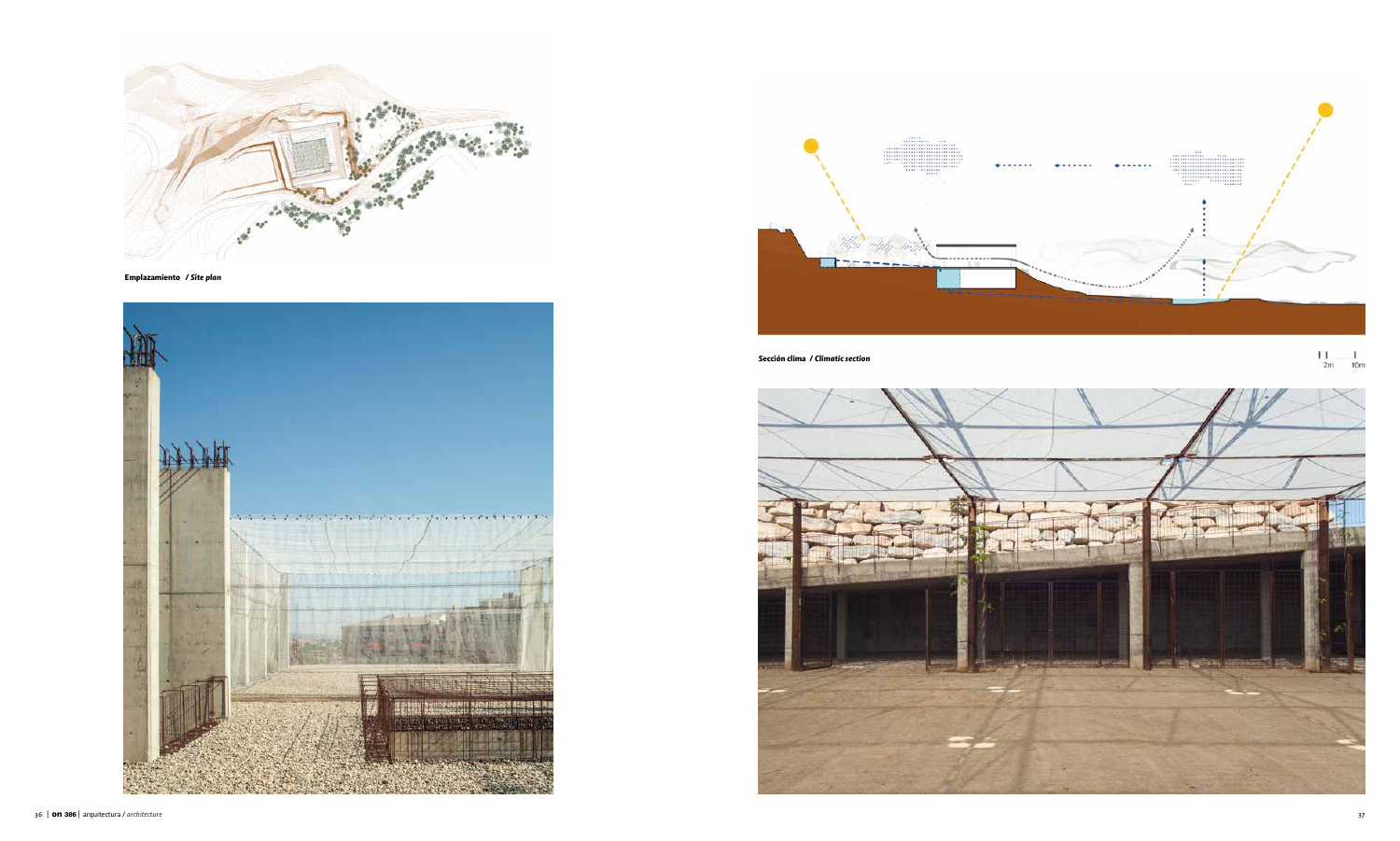

**Emplazamiento /** *Site plan* 





**Sección clima /** *Climatic section* 



 $\begin{array}{cc} 1 & 1 & 1 \\ 2m & 10m \end{array}$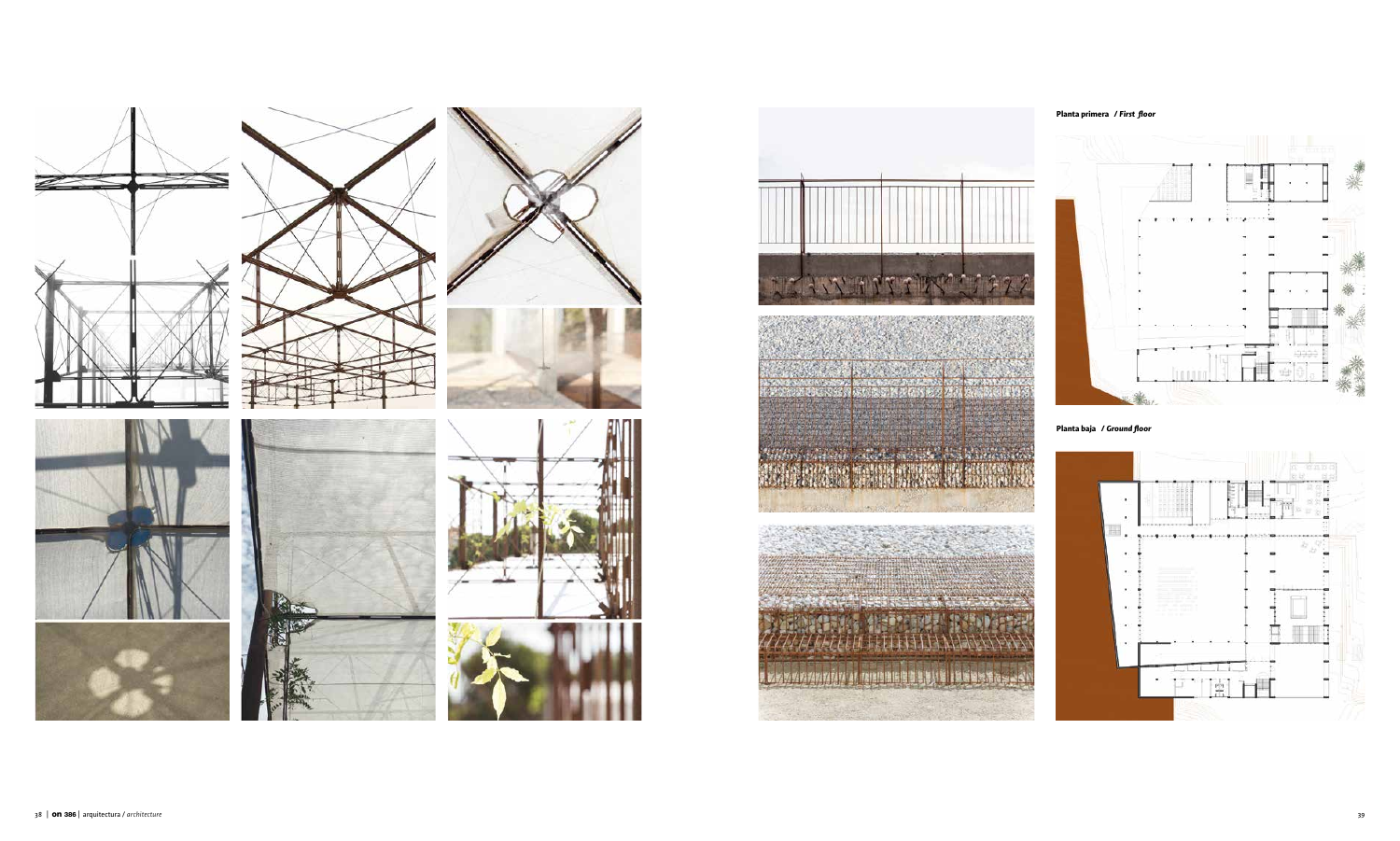



ANG ANG ING ANG PART

Mother plants of calculations of the Windows of







## **Planta primera /** *First floor*